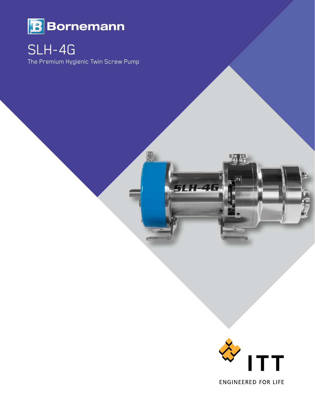

## SLH-4G

The Premium Hygienic Twin Screw Pump

團

 $-4$ 

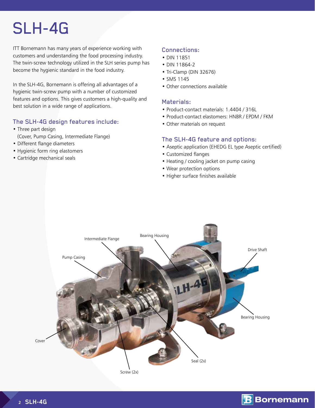# SLH-4G

ITT Bornemann has many years of experience working with customers and understanding the food processing industry. The twin-screw technology utilized in the SLH series pump has become the hygienic standard in the food industry.

In the SLH-4G, Bornemann is offering all advantages of a hygienic twin-screw pump with a number of customized features and options. This gives customers a high-quality and best solution in a wide range of applications.

## The SLH-4G design features include:

- Three part design (Cover, Pump Casing, Intermediate Flange)
- Different flange diameters
- Hygienic form ring elastomers
- Cartridge mechanical seals

## Connections:

- DIN 11851
- DIN 11864-2
- Tri-Clamp (DIN 32676)
- SMS 1145
- Other connections available

#### Materials:

- Product-contact materials: 1.4404 / 316L
- Product-contact elastomers: HNBR / EPDM / FKM
- Other materials on request

## The SLH-4G feature and options:

- Aseptic application (EHEDG EL type Aseptic certified)
- Customized flanges
- Heating / cooling jacket on pump casing
- Wear protection options
- Higher surface finishes available



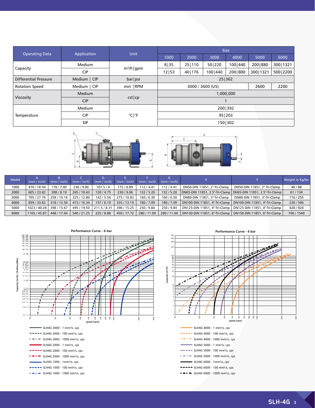|                       |                   | Unit                       | <b>Size</b>      |          |           |         |            |            |
|-----------------------|-------------------|----------------------------|------------------|----------|-----------|---------|------------|------------|
| <b>Operating Data</b> | Application       |                            | 1000             | 2000     | 3000      | 4000    | 5000       | 6000       |
|                       | Medium            |                            | 8 35             | 25   110 | 50 220    | 100 440 | 200 880    | 300   1321 |
| Capacity              | <b>CIP</b>        | $m^3/h$   gpm              | 12 53            | 40   176 | 100   440 | 200 800 | 300   1321 | 500 2200   |
| Differential Pressure | Medium   CIP      | bar psi                    | 25 362           |          |           |         |            |            |
| <b>Rotation Speed</b> | Medium  <br>l CIP | $min^{-1}$ RPM             | 3000 / 3600 (US) |          |           |         | 2600       | 2200       |
|                       | <b>Medium</b>     |                            | 1,000,000        |          |           |         |            |            |
| Viscosity             | <b>CIP</b>        | $cst$  cp                  |                  |          |           |         |            |            |
|                       | Medium            |                            | 200 392          |          |           |         |            |            |
| Temperature           | <b>CIP</b>        | $^{\circ}$ C  $^{\circ}$ F | 95   203         |          |           |         |            |            |
|                       | <b>SIP</b>        |                            | 1501302          |          |           |         |            |            |



| Model | (mm / inch)  | (mm / inch) | (mm / inch) | (mm / inch)  | (mm / inch) | $(mm / inch)$ (mm / inch) | G         |                                                                 |                              | Weight in Kg/lbs |
|-------|--------------|-------------|-------------|--------------|-------------|---------------------------|-----------|-----------------------------------------------------------------|------------------------------|------------------|
| 1000  | 470 / 18.50  | 178/7.00    | 230/9.06    | 101.5/4      | 175 / 6.89  | 112/4.41                  | 112/4.41  | DN50-DIN 11851, 2"-Tri-Clamp                                    | DN50-DIN 11851, 2"-Tri-Clamp | 40/88            |
| 2000  | 605/23.82    | 208/8.19    | 265 / 10.43 | 120/4.75     | 230/9.06    | 132/5.20                  | 132/5.20  | DN65-DIN 11851, 2.5"-Tri-Clamp   DN65-DIN 11851, 2.5"-Tri-Clamp |                              | 61/134           |
| 3000  | 705/27.76    | 258/10.16   | 325/12.80   | 142/5.56     | 275/10.83   | 160/6.30                  | 160/6.30  | DN80-DIN 11851, 3"-Tri-Clamp                                    | DN80-DIN 11851, 3"-Tri-Clamp | 116/255          |
| 4000  | 859/33.82    | 318/12.50   | 415 / 16.34 | 157/6.19     | 335 / 13.19 | 180/7.09                  | 180/7.09  | DN100-DIN 11851, 4"-Tri-Clamp   DN100-DIN 11851, 4"-Tri-Clamp   |                              | 230/506          |
| 5000  | 1023 / 40.28 | 398 / 15.67 | 495 / 19.50 | 211.5 / 8.31 | 390 / 15.25 | 250/9.84                  | 250/9.84  | DN125-DIN 11851, 4"-Tri-Clamp   DN125-DIN 11851, 4"-Tri-Clamp   |                              | 420/924          |
| 6000  | 1165 / 45.87 | 448 / 17.64 | 540 / 21.25 | 225/8.88     | 450 / 17.72 | 280 / 11.00               | 280/11.00 | DN150-DIN 11851, 6"-Tri-Clamp   DN150-DIN 11851, 6"-Tri-Clamp   |                              | 700 / 1540       |





| SLH4G 4000 - 1 mm <sup>2</sup> /s, cps       |
|----------------------------------------------|
| SLH4G 4000 - 100 mm <sup>2</sup> /s, cps     |
| SLH4G 4000 - 1000 mm <sup>2</sup> /s, cps    |
| SLH4G 5000 - 1 mm <sup>2</sup> /s, cps       |
| $=$ SLH4G 5000 - 100 mm <sup>2</sup> /s, cps |
| SLH4G 5000 - 1000 mm <sup>2</sup> /s, cps    |
| SLH4G 6000 - 1mm <sup>2</sup> /s, cps        |
| -- SLH4G 6000 - 100 mm <sup>2</sup> /s, cps  |
| SLH4G 6000 - 1000 mm <sup>2</sup> /s, cps    |
|                                              |